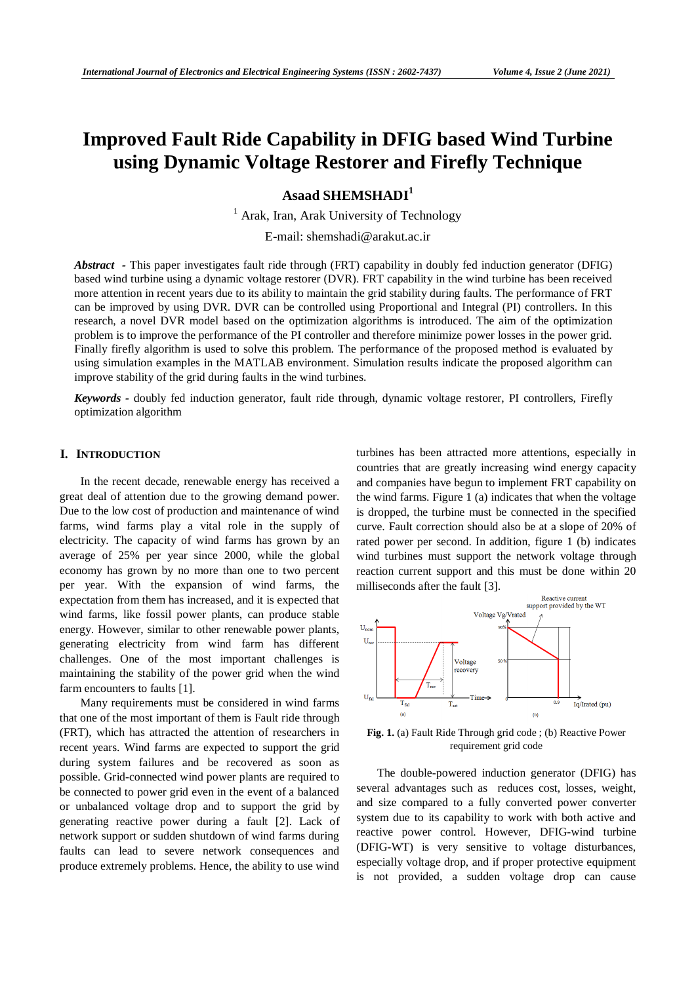# **Improved Fault Ride Capability in DFIG based Wind Turbine using Dynamic Voltage Restorer and Firefly Technique**

**Asaad SHEMSHADI<sup>1</sup>**

 $<sup>1</sup>$  Arak, Iran, Arak University of Technology</sup>

E-mail: shemshadi@arakut.ac.ir

*Abstract -* This paper investigates fault ride through (FRT) capability in doubly fed induction generator (DFIG) based wind turbine using a dynamic voltage restorer (DVR). FRT capability in the wind turbine has been received more attention in recent years due to its ability to maintain the grid stability during faults. The performance of FRT can be improved by using DVR. DVR can be controlled using Proportional and Integral (PI) controllers. In this research, a novel DVR model based on the optimization algorithms is introduced. The aim of the optimization problem is to improve the performance of the PI controller and therefore minimize power losses in the power grid. Finally firefly algorithm is used to solve this problem. The performance of the proposed method is evaluated by using simulation examples in the MATLAB environment. Simulation results indicate the proposed algorithm can improve stability of the grid during faults in the wind turbines.

*Keywords -* doubly fed induction generator, fault ride through, dynamic voltage restorer, PI controllers, Firefly optimization algorithm

#### **I. INTRODUCTION**

In the recent decade, renewable energy has received a great deal of attention due to the growing demand power. Due to the low cost of production and maintenance of wind farms, wind farms play a vital role in the supply of electricity. The capacity of wind farms has grown by an average of 25% per year since 2000, while the global economy has grown by no more than one to two percent per year. With the expansion of wind farms, the expectation from them has increased, and it is expected that wind farms, like fossil power plants, can produce stable energy. However, similar to other renewable power plants, generating electricity from wind farm has different challenges. One of the most important challenges is maintaining the stability of the power grid when the wind farm encounters to faults [1].

Many requirements must be considered in wind farms that one of the most important of them is Fault ride through (FRT), which has attracted the attention of researchers in recent years. Wind farms are expected to support the grid during system failures and be recovered as soon as possible. Grid-connected wind power plants are required to be connected to power grid even in the event of a balanced or unbalanced voltage drop and to support the grid by generating reactive power during a fault [2]. Lack of network support or sudden shutdown of wind farms during faults can lead to severe network consequences and produce extremely problems. Hence, the ability to use wind turbines has been attracted more attentions, especially in countries that are greatly increasing wind energy capacity and companies have begun to implement FRT capability on the wind farms. Figure 1 (a) indicates that when the voltage is dropped, the turbine must be connected in the specified curve. Fault correction should also be at a slope of 20% of rated power per second. In addition, figure 1 (b) indicates wind turbines must support the network voltage through reaction current support and this must be done within 20 milliseconds after the fault [3].



**Fig. 1.** (a) Fault Ride Through grid code ; (b) Reactive Power requirement grid code

The double-powered induction generator (DFIG) has several advantages such as reduces cost, losses, weight, and size compared to a fully converted power converter system due to its capability to work with both active and reactive power control. However, DFIG-wind turbine (DFIG-WT) is very sensitive to voltage disturbances, especially voltage drop, and if proper protective equipment is not provided, a sudden voltage drop can cause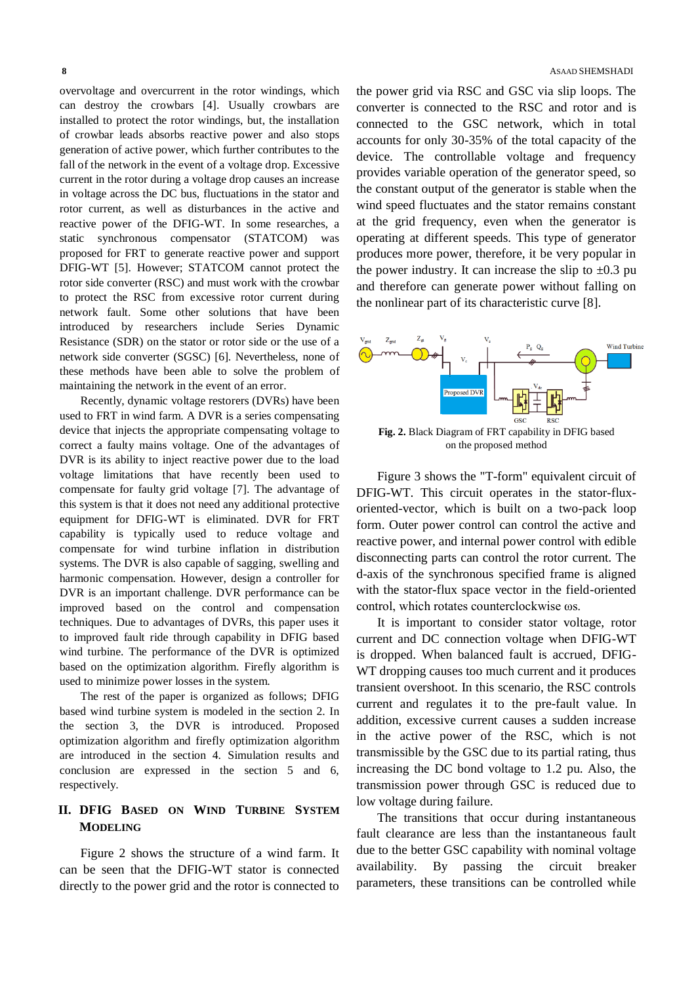overvoltage and overcurrent in the rotor windings, which can destroy the crowbars [4]. Usually crowbars are installed to protect the rotor windings, but, the installation of crowbar leads absorbs reactive power and also stops generation of active power, which further contributes to the fall of the network in the event of a voltage drop. Excessive current in the rotor during a voltage drop causes an increase in voltage across the DC bus, fluctuations in the stator and rotor current, as well as disturbances in the active and reactive power of the DFIG-WT. In some researches, a static synchronous compensator (STATCOM) was proposed for FRT to generate reactive power and support DFIG-WT [5]. However; STATCOM cannot protect the rotor side converter (RSC) and must work with the crowbar to protect the RSC from excessive rotor current during network fault. Some other solutions that have been introduced by researchers include Series Dynamic Resistance (SDR) on the stator or rotor side or the use of a network side converter (SGSC) [6]. Nevertheless, none of these methods have been able to solve the problem of maintaining the network in the event of an error.

Recently, dynamic voltage restorers (DVRs) have been used to FRT in wind farm. A DVR is a series compensating device that injects the appropriate compensating voltage to correct a faulty mains voltage. One of the advantages of DVR is its ability to inject reactive power due to the load voltage limitations that have recently been used to compensate for faulty grid voltage [7]. The advantage of this system is that it does not need any additional protective equipment for DFIG-WT is eliminated. DVR for FRT capability is typically used to reduce voltage and compensate for wind turbine inflation in distribution systems. The DVR is also capable of sagging, swelling and harmonic compensation. However, design a controller for DVR is an important challenge. DVR performance can be improved based on the control and compensation techniques. Due to advantages of DVRs, this paper uses it to improved fault ride through capability in DFIG based wind turbine. The performance of the DVR is optimized based on the optimization algorithm. Firefly algorithm is used to minimize power losses in the system.

The rest of the paper is organized as follows; DFIG based wind turbine system is modeled in the section 2. In the section 3, the DVR is introduced. Proposed optimization algorithm and firefly optimization algorithm are introduced in the section 4. Simulation results and conclusion are expressed in the section 5 and 6, respectively.

## **II. DFIG BASED ON WIND TURBINE SYSTEM MODELING**

Figure 2 shows the structure of a wind farm. It can be seen that the DFIG-WT stator is connected directly to the power grid and the rotor is connected to

the power grid via RSC and GSC via slip loops. The converter is connected to the RSC and rotor and is connected to the GSC network, which in total accounts for only 30-35% of the total capacity of the device. The controllable voltage and frequency provides variable operation of the generator speed, so the constant output of the generator is stable when the wind speed fluctuates and the stator remains constant at the grid frequency, even when the generator is operating at different speeds. This type of generator produces more power, therefore, it be very popular in the power industry. It can increase the slip to  $\pm 0.3$  pu and therefore can generate power without falling on the nonlinear part of its characteristic curve [8].



**Fig. 2.** Black Diagram of FRT capability in DFIG based on the proposed method

Figure 3 shows the "T-form" equivalent circuit of DFIG-WT. This circuit operates in the stator-fluxoriented-vector, which is built on a two-pack loop form. Outer power control can control the active and reactive power, and internal power control with edible disconnecting parts can control the rotor current. The d-axis of the synchronous specified frame is aligned with the stator-flux space vector in the field-oriented control, which rotates counterclockwise ωs.

It is important to consider stator voltage, rotor current and DC connection voltage when DFIG-WT is dropped. When balanced fault is accrued, DFIG-WT dropping causes too much current and it produces transient overshoot. In this scenario, the RSC controls current and regulates it to the pre-fault value. In addition, excessive current causes a sudden increase in the active power of the RSC, which is not transmissible by the GSC due to its partial rating, thus increasing the DC bond voltage to 1.2 pu. Also, the transmission power through GSC is reduced due to low voltage during failure.

The transitions that occur during instantaneous fault clearance are less than the instantaneous fault due to the better GSC capability with nominal voltage availability. By passing the circuit breaker parameters, these transitions can be controlled while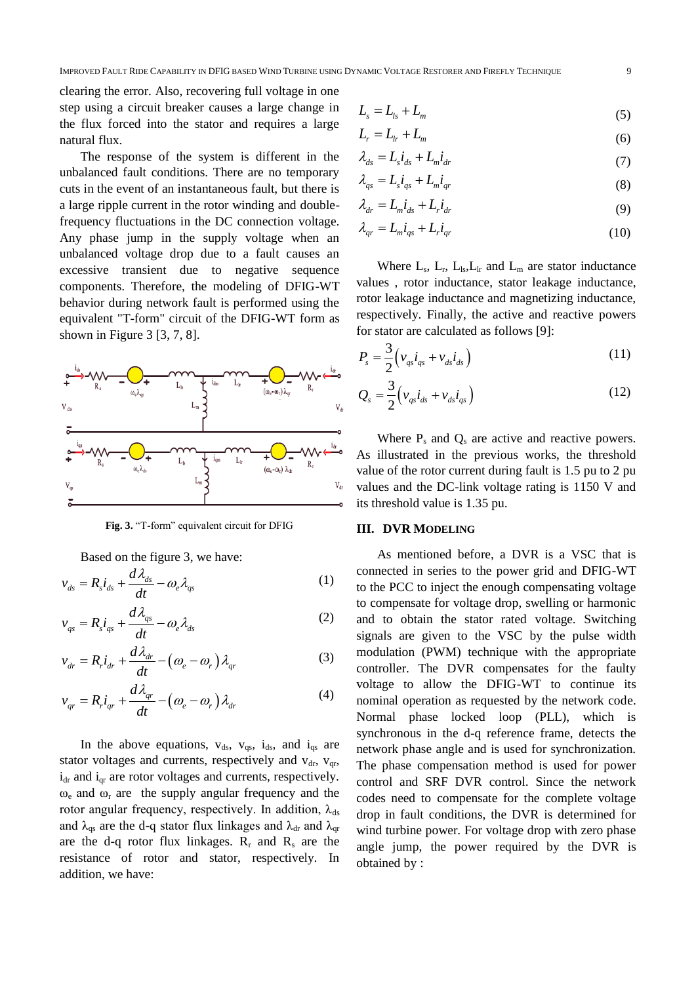clearing the error. Also, recovering full voltage in one step using a circuit breaker causes a large change in the flux forced into the stator and requires a large natural flux.

The response of the system is different in the unbalanced fault conditions. There are no temporary cuts in the event of an instantaneous fault, but there is a large ripple current in the rotor winding and doublefrequency fluctuations in the DC connection voltage. Any phase jump in the supply voltage when an unbalanced voltage drop due to a fault causes an excessive transient due to negative sequence components. Therefore, the modeling of DFIG-WT behavior during network fault is performed using the equivalent "T-form" circuit of the DFIG-WT form as shown in Figure 3 [3, 7, 8].



**Fig. 3.** "T-form" equivalent circuit for DFIG

Based on the figure 3, we have:

$$
v_{ds} = R_s i_{ds} + \frac{d\lambda_{ds}}{dt} - \omega_e \lambda_{qs}
$$
 (1)

$$
v_{qs} = R_s i_{qs} + \frac{d\lambda_{qs}}{dt} - \omega_e \lambda_{ds}
$$
 (2)

$$
v_{dr} = R_r i_{dr} + \frac{d\lambda_{dr}}{dt} - \left(\omega_e - \omega_r\right) \lambda_{qr}
$$
 (3)

$$
v_{qr} = R_r i_{qr} + \frac{d\lambda_{qr}}{dt} - \left(\omega_e - \omega_r\right) \lambda_{dr} \tag{4}
$$

In the above equations,  $v_{ds}$ ,  $v_{qs}$ ,  $i_{ds}$ , and  $i_{qs}$  are stator voltages and currents, respectively and  $v_{dr}$ ,  $v_{qr}$ ,  $i_{dr}$  and  $i_{qr}$  are rotor voltages and currents, respectively.  $\omega_e$  and  $\omega_r$  are the supply angular frequency and the rotor angular frequency, respectively. In addition,  $\lambda_{ds}$ and  $\lambda_{qs}$  are the d-q stator flux linkages and  $\lambda_{dr}$  and  $\lambda_{qr}$ are the d-q rotor flux linkages.  $R_r$  and  $R_s$  are the resistance of rotor and stator, respectively. In addition, we have:

$$
L_s = L_{ls} + L_m \tag{5}
$$

$$
L_r = L_{lr} + L_m \tag{6}
$$

$$
\lambda_{ds} = L_s i_{ds} + L_m i_{dr} \tag{7}
$$

$$
\lambda_{qs} = L_s i_{qs} + L_m i_{qr} \tag{8}
$$

$$
\lambda_{dr} = L_m \dot{I}_{ds} + L_r \dot{I}_{dr} \tag{9}
$$

$$
L_{dr} = L_m l_{ds} + L_r l_{dr} \tag{9}
$$

$$
\lambda_{qr} = L_m \dot{t}_{qs} + L_r \dot{t}_{qr} \tag{10}
$$

Where  $L_s$ ,  $L_r$ ,  $L_{ls}$ ,  $L_{lr}$  and  $L_m$  are stator inductance values , rotor inductance, stator leakage inductance, rotor leakage inductance and magnetizing inductance, respectively. Finally, the active and reactive powers for stator are calculated as follows [9]:

$$
P_s = \frac{3}{2} \left( v_{qs} i_{qs} + v_{ds} i_{ds} \right) \tag{11}
$$

$$
Q_s = \frac{3}{2} \left( v_{qs} i_{ds} + v_{ds} i_{qs} \right) \tag{12}
$$

Where  $P_s$  and  $Q_s$  are active and reactive powers. As illustrated in the previous works, the threshold value of the rotor current during fault is 1.5 pu to 2 pu values and the DC-link voltage rating is 1150 V and its threshold value is 1.35 pu.

### **III. DVR MODELING**

As mentioned before, a DVR is a VSC that is connected in series to the power grid and DFIG-WT to the PCC to inject the enough compensating voltage to compensate for voltage drop, swelling or harmonic and to obtain the stator rated voltage. Switching signals are given to the VSC by the pulse width modulation (PWM) technique with the appropriate controller. The DVR compensates for the faulty voltage to allow the DFIG-WT to continue its nominal operation as requested by the network code. Normal phase locked loop (PLL), which is synchronous in the d-q reference frame, detects the network phase angle and is used for synchronization. The phase compensation method is used for power control and SRF DVR control. Since the network codes need to compensate for the complete voltage drop in fault conditions, the DVR is determined for wind turbine power. For voltage drop with zero phase angle jump, the power required by the DVR is obtained by :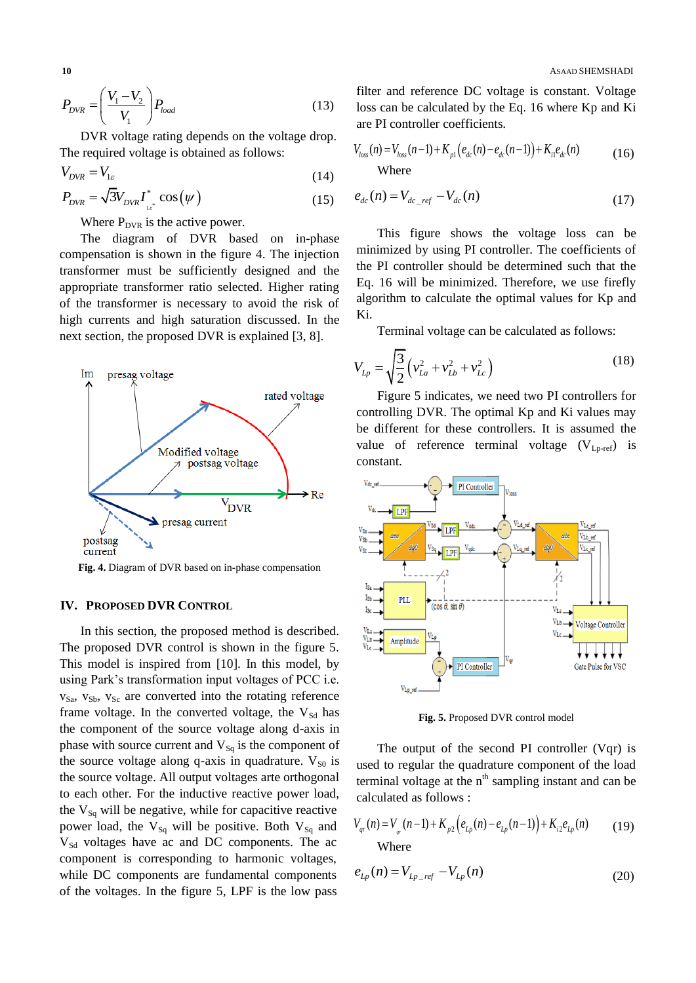$$
P_{DVR} = \left(\frac{V_1 - V_2}{V_1}\right) P_{load} \tag{13}
$$

DVR voltage rating depends on the voltage drop. The required voltage is obtained as follows:

$$
V_{DVR} = V_{1\varepsilon} \tag{14}
$$

$$
P_{DVR} = \sqrt{3}V_{DVR}I_{1e^*}^* \cos(\psi)
$$
 (15)

Where  $P_{DVR}$  is the active power.

The diagram of DVR based on in-phase compensation is shown in the figure 4. The injection transformer must be sufficiently designed and the appropriate transformer ratio selected. Higher rating of the transformer is necessary to avoid the risk of high currents and high saturation discussed. In the next section, the proposed DVR is explained [3, 8].



**Fig. 4.** Diagram of DVR based on in-phase compensation

#### **IV. PROPOSED DVR CONTROL**

In this section, the proposed method is described. The proposed DVR control is shown in the figure 5. This model is inspired from [10]. In this model, by using Park's transformation input voltages of PCC i.e.  $v_{\text{Sa}}$ ,  $v_{\text{Sb}}$ ,  $v_{\text{Sc}}$  are converted into the rotating reference frame voltage. In the converted voltage, the  $V_{\text{Sd}}$  has the component of the source voltage along d-axis in phase with source current and  $V_{Sq}$  is the component of the source voltage along q-axis in quadrature.  $V_{S0}$  is the source voltage. All output voltages arte orthogonal to each other. For the inductive reactive power load, the  $V_{Sq}$  will be negative, while for capacitive reactive power load, the  $V_{Sq}$  will be positive. Both  $V_{Sq}$  and  $V<sub>sd</sub>$  voltages have ac and DC components. The ac component is corresponding to harmonic voltages, while DC components are fundamental components of the voltages. In the figure 5, LPF is the low pass

filter and reference DC voltage is constant. Voltage loss can be calculated by the Eq. 16 where Kp and Ki

are PI controller coefficients.  
\n
$$
V_{loss}(n) = V_{loss}(n-1) + K_{p1}(e_{de}(n) - e_{de}(n-1)) + K_{i1}e_{de}(n)
$$
\nWhere (16)

$$
e_{dc}(n) = V_{dc\_ref} - V_{dc}(n)
$$
 (17)

This figure shows the voltage loss can be minimized by using PI controller. The coefficients of the PI controller should be determined such that the Eq. 16 will be minimized. Therefore, we use firefly algorithm to calculate the optimal values for Kp and Ki.

Terminal voltage can be calculated as follows:

$$
V_{Lp} = \sqrt{\frac{3}{2}} \left( v_{La}^2 + v_{Lb}^2 + v_{Lc}^2 \right)
$$
 (18)

Figure 5 indicates, we need two PI controllers for controlling DVR. The optimal Kp and Ki values may be different for these controllers. It is assumed the value of reference terminal voltage  $(V_{Lp-ref})$  is constant.



**Fig. 5.** Proposed DVR control model

The output of the second PI controller (Vqr) is used to regular the quadrature component of the load terminal voltage at the  $n<sup>th</sup>$  sampling instant and can be calculated as follows :

calculated as follows :  
\n
$$
V_{qr}(n) = V_{qr}(n-1) + K_{p2}(e_{Lp}(n) - e_{Lp}(n-1)) + K_{i2}e_{Lp}(n)
$$
\n(19)

Where

$$
e_{L_p}(n) = V_{L_{p\_ref}} - V_{L_p}(n)
$$
\n(20)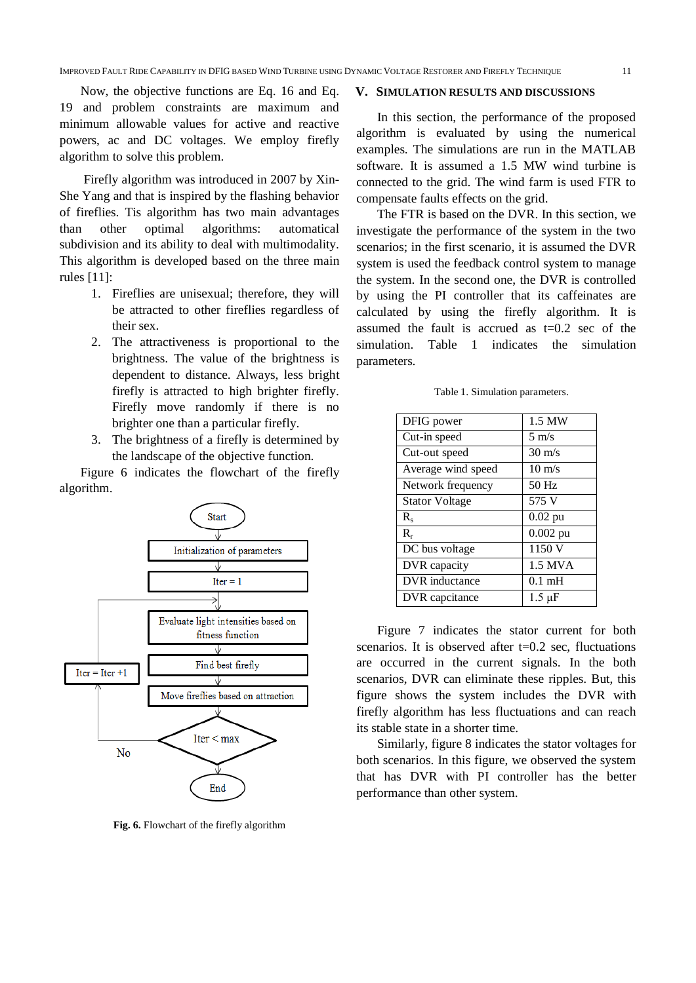Now, the objective functions are Eq. 16 and Eq. 19 and problem constraints are maximum and minimum allowable values for active and reactive powers, ac and DC voltages. We employ firefly algorithm to solve this problem.

Firefly algorithm was introduced in 2007 by Xin-She Yang and that is inspired by the flashing behavior of fireflies. Tis algorithm has two main advantages than other optimal algorithms: automatical subdivision and its ability to deal with multimodality. This algorithm is developed based on the three main rules [11]:

- 1. Fireflies are unisexual; therefore, they will be attracted to other fireflies regardless of their sex.
- 2. The attractiveness is proportional to the brightness. The value of the brightness is dependent to distance. Always, less bright firefly is attracted to high brighter firefly. Firefly move randomly if there is no brighter one than a particular firefly.
- 3. The brightness of a firefly is determined by the landscape of the objective function.

Figure 6 indicates the flowchart of the firefly algorithm.



**Fig. 6.** Flowchart of the firefly algorithm

#### **V. SIMULATION RESULTS AND DISCUSSIONS**

In this section, the performance of the proposed algorithm is evaluated by using the numerical examples. The simulations are run in the MATLAB software. It is assumed a 1.5 MW wind turbine is connected to the grid. The wind farm is used FTR to compensate faults effects on the grid.

The FTR is based on the DVR. In this section, we investigate the performance of the system in the two scenarios; in the first scenario, it is assumed the DVR system is used the feedback control system to manage the system. In the second one, the DVR is controlled by using the PI controller that its caffeinates are calculated by using the firefly algorithm. It is assumed the fault is accrued as  $t=0.2$  sec of the simulation. Table 1 indicates the simulation parameters.

|  |  | Table 1. Simulation parameters. |
|--|--|---------------------------------|
|--|--|---------------------------------|

| DFIG power            | 1.5 MW           |
|-----------------------|------------------|
| Cut-in speed          | $5 \text{ m/s}$  |
| Cut-out speed         | $30 \text{ m/s}$ |
| Average wind speed    | $10 \text{ m/s}$ |
| Network frequency     | 50 Hz            |
| <b>Stator Voltage</b> | 575 V            |
| $R_{\rm c}$           | $0.02$ pu        |
| $R_r$                 | $0.002$ pu       |
| DC bus voltage        | 1150 V           |
| DVR capacity          | 1.5 MVA          |
| DVR inductance        | $0.1 \text{ mH}$ |
| DVR capcitance        | 1.5 uF           |

Figure 7 indicates the stator current for both scenarios. It is observed after  $t=0.2$  sec, fluctuations are occurred in the current signals. In the both scenarios, DVR can eliminate these ripples. But, this figure shows the system includes the DVR with firefly algorithm has less fluctuations and can reach its stable state in a shorter time.

Similarly, figure 8 indicates the stator voltages for both scenarios. In this figure, we observed the system that has DVR with PI controller has the better performance than other system.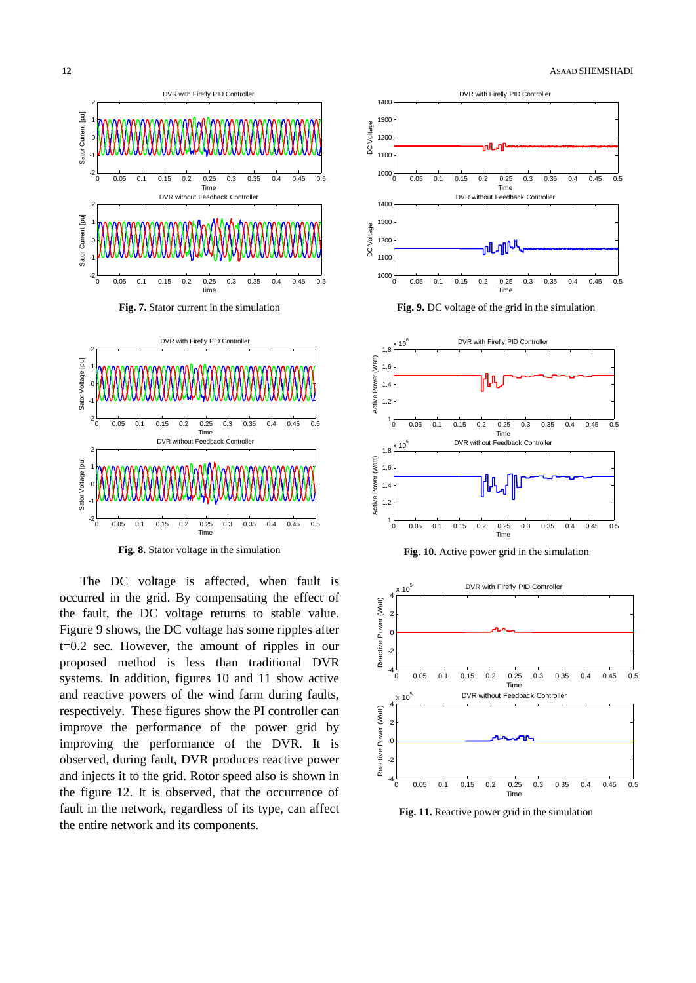





**Fig. 8.** Stator voltage in the simulation

The DC voltage is affected, when fault is occurred in the grid. By compensating the effect of the fault, the DC voltage returns to stable value. Figure 9 shows, the DC voltage has some ripples after t=0.2 sec. However, the amount of ripples in our proposed method is less than traditional DVR systems. In addition, figures 10 and 11 show active and reactive powers of the wind farm during faults, respectively. These figures show the PI controller can improve the performance of the power grid by improving the performance of the DVR. It is observed, during fault, DVR produces reactive power and injects it to the grid. Rotor speed also is shown in the figure 12. It is observed, that the occurrence of fault in the network, regardless of its type, can affect the entire network and its components.



**Fig. 9.** DC voltage of the grid in the simulation



**Fig. 10.** Active power grid in the simulation



**Fig. 11.** Reactive power grid in the simulation